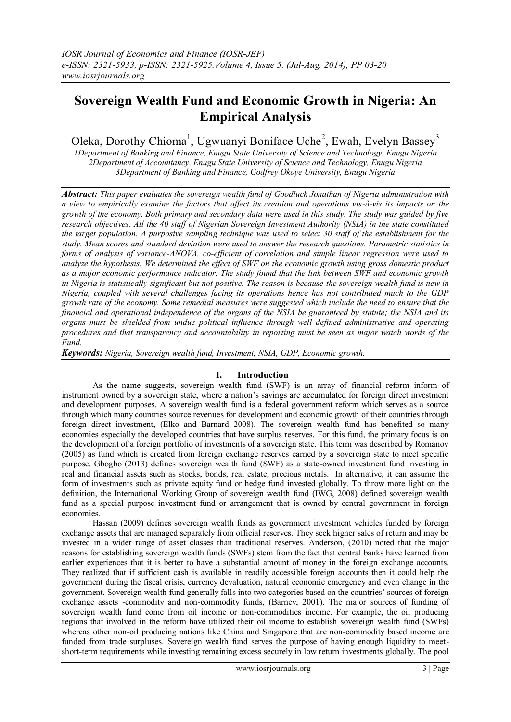# **Sovereign Wealth Fund and Economic Growth in Nigeria: An Empirical Analysis**

Oleka, Dorothy Chioma<sup>1</sup>, Ugwuanyi Boniface Uche<sup>2</sup>, Ewah, Evelyn Bassey<sup>3</sup>

*1Department of Banking and Finance, Enugu State University of Science and Technology, Enugu Nigeria 2Department of Accountancy, Enugu State University of Science and Technology, Enugu Nigeria 3Department of Banking and Finance, Godfrey Okoye University, Enugu Nigeria*

*Abstract: This paper evaluates the sovereign wealth fund of Goodluck Jonathan of Nigeria administration with a view to empirically examine the factors that affect its creation and operations vis-à-vis its impacts on the growth of the economy. Both primary and secondary data were used in this study. The study was guided by five research objectives. All the 40 staff of Nigerian Sovereign Investment Authority (NSIA) in the state constituted the target population. A purposive sampling technique was used to select 30 staff of the establishment for the study. Mean scores and standard deviation were used to answer the research questions. Parametric statistics in forms of analysis of variance-ANOVA, co-efficient of correlation and simple linear regression were used to analyze the hypothesis. We determined the effect of SWF on the economic growth using gross domestic product as a major economic performance indicator. The study found that the link between SWF and economic growth in Nigeria is statistically significant but not positive. The reason is because the sovereign wealth fund is new in Nigeria, coupled with several challenges facing its operations hence has not contributed much to the GDP growth rate of the economy. Some remedial measures were suggested which include the need to ensure that the financial and operational independence of the organs of the NSIA be guaranteed by statute; the NSIA and its organs must be shielded from undue political influence through well defined administrative and operating procedures and that transparency and accountability in reporting must be seen as major watch words of the Fund.* 

*Keywords: Nigeria, Sovereign wealth fund, Investment, NSIA, GDP, Economic growth.*

# **I. Introduction**

As the name suggests, sovereign wealth fund (SWF) is an array of financial reform inform of instrument owned by a sovereign state, where a nation's savings are accumulated for foreign direct investment and development purposes. A sovereign wealth fund is a federal government reform which serves as a source through which many countries source revenues for development and economic growth of their countries through foreign direct investment, (Elko and Barnard 2008). The sovereign wealth fund has benefited so many economies especially the developed countries that have surplus reserves. For this fund, the primary focus is on the development of a foreign portfolio of investments of a sovereign state. This term was described by Romanov (2005) as fund which is created from foreign exchange reserves earned by a sovereign state to meet specific purpose. Gbogbo (2013) defines sovereign wealth fund (SWF) as a state-owned investment fund investing in real and financial assets such as stocks, bonds, real estate, precious metals. In alternative, it can assume the form of investments such as private equity fund or hedge fund invested globally. To throw more light on the definition, the International Working Group of sovereign wealth fund (IWG, 2008) defined sovereign wealth fund as a special purpose investment fund or arrangement that is owned by central government in foreign economies.

Hassan (2009) defines sovereign wealth funds as government investment vehicles funded by foreign exchange assets that are managed separately from official reserves. They seek higher sales of return and may be invested in a wider range of asset classes than traditional reserves. Anderson, (2010) noted that the major reasons for establishing sovereign wealth funds (SWFs) stem from the fact that central banks have learned from earlier experiences that it is better to have a substantial amount of money in the foreign exchange accounts. They realized that if sufficient cash is available in readily accessible foreign accounts then it could help the government during the fiscal crisis, currency devaluation, natural economic emergency and even change in the government. Sovereign wealth fund generally falls into two categories based on the countries' sources of foreign exchange assets -commodity and non-commodity funds, (Barney, 2001). The major sources of funding of sovereign wealth fund come from oil income or non-commodities income. For example, the oil producing regions that involved in the reform have utilized their oil income to establish sovereign wealth fund (SWFs) whereas other non-oil producing nations like China and Singapore that are non-commodity based income are funded from trade surpluses. Sovereign wealth fund serves the purpose of having enough liquidity to meetshort-term requirements while investing remaining excess securely in low return investments globally. The pool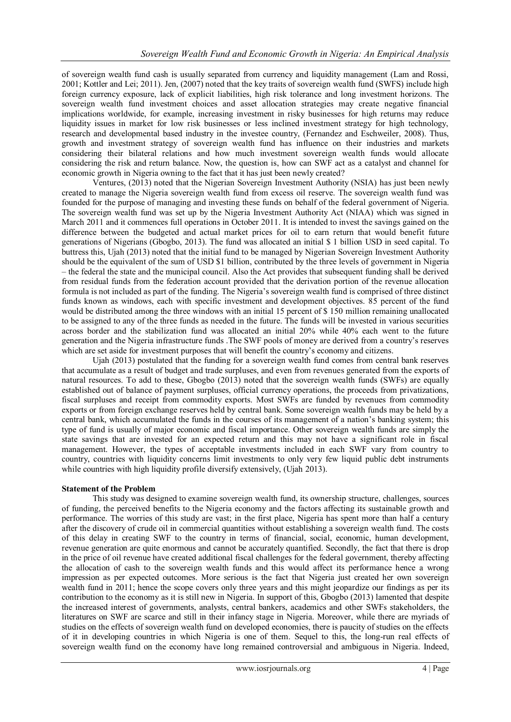of sovereign wealth fund cash is usually separated from currency and liquidity management (Lam and Rossi, 2001; Kottler and Lei; 2011). Jen, (2007) noted that the key traits of sovereign wealth fund (SWFS) include high foreign currency exposure, lack of explicit liabilities, high risk tolerance and long investment horizons. The sovereign wealth fund investment choices and asset allocation strategies may create negative financial implications worldwide, for example, increasing investment in risky businesses for high returns may reduce liquidity issues in market for low risk businesses or less inclined investment strategy for high technology, research and developmental based industry in the investee country, (Fernandez and Eschweiler, 2008). Thus, growth and investment strategy of sovereign wealth fund has influence on their industries and markets considering their bilateral relations and how much investment sovereign wealth funds would allocate considering the risk and return balance. Now, the question is, how can SWF act as a catalyst and channel for economic growth in Nigeria owning to the fact that it has just been newly created?

Ventures, (2013) noted that the Nigerian Sovereign Investment Authority (NSIA) has just been newly created to manage the Nigeria sovereign wealth fund from excess oil reserve. The sovereign wealth fund was founded for the purpose of managing and investing these funds on behalf of the federal government of Nigeria. The sovereign wealth fund was set up by the Nigeria Investment Authority Act (NIAA) which was signed in March 2011 and it commences full operations in October 2011. It is intended to invest the savings gained on the difference between the budgeted and actual market prices for oil to earn return that would benefit future generations of Nigerians (Gbogbo, 2013). The fund was allocated an initial \$ 1 billion USD in seed capital. To buttress this, Ujah (2013) noted that the initial fund to be managed by Nigerian Sovereign Investment Authority should be the equivalent of the sum of USD \$1 billion, contributed by the three levels of government in Nigeria – the federal the state and the municipal council. Also the Act provides that subsequent funding shall be derived from residual funds from the federation account provided that the derivation portion of the revenue allocation formula is not included as part of the funding. The Nigeria's sovereign wealth fund is comprised of three distinct funds known as windows, each with specific investment and development objectives. 85 percent of the fund would be distributed among the three windows with an initial 15 percent of \$150 million remaining unallocated to be assigned to any of the three funds as needed in the future. The funds will be invested in various securities across border and the stabilization fund was allocated an initial 20% while 40% each went to the future generation and the Nigeria infrastructure funds .The SWF pools of money are derived from a country's reserves which are set aside for investment purposes that will benefit the country's economy and citizens.

Ujah (2013) postulated that the funding for a sovereign wealth fund comes from central bank reserves that accumulate as a result of budget and trade surpluses, and even from revenues generated from the exports of natural resources. To add to these, Gbogbo (2013) noted that the sovereign wealth funds (SWFs) are equally established out of balance of payment surpluses, official currency operations, the proceeds from privatizations, fiscal surpluses and receipt from commodity exports. Most SWFs are funded by revenues from commodity exports or from foreign exchange reserves held by central bank. Some sovereign wealth funds may be held by a central bank, which accumulated the funds in the courses of its management of a nation's banking system; this type of fund is usually of major economic and fiscal importance. Other sovereign wealth funds are simply the state savings that are invested for an expected return and this may not have a significant role in fiscal management. However, the types of acceptable investments included in each SWF vary from country to country, countries with liquidity concerns limit investments to only very few liquid public debt instruments while countries with high liquidity profile diversify extensively, (Ujah 2013).

# **Statement of the Problem**

This study was designed to examine sovereign wealth fund, its ownership structure, challenges, sources of funding, the perceived benefits to the Nigeria economy and the factors affecting its sustainable growth and performance. The worries of this study are vast; in the first place, Nigeria has spent more than half a century after the discovery of crude oil in commercial quantities without establishing a sovereign wealth fund. The costs of this delay in creating SWF to the country in terms of financial, social, economic, human development, revenue generation are quite enormous and cannot be accurately quantified. Secondly, the fact that there is drop in the price of oil revenue have created additional fiscal challenges for the federal government, thereby affecting the allocation of cash to the sovereign wealth funds and this would affect its performance hence a wrong impression as per expected outcomes. More serious is the fact that Nigeria just created her own sovereign wealth fund in 2011; hence the scope covers only three years and this might jeopardize our findings as per its contribution to the economy as it is still new in Nigeria. In support of this, Gbogbo (2013) lamented that despite the increased interest of governments, analysts, central bankers, academics and other SWFs stakeholders, the literatures on SWF are scarce and still in their infancy stage in Nigeria. Moreover, while there are myriads of studies on the effects of sovereign wealth fund on developed economies, there is paucity of studies on the effects of it in developing countries in which Nigeria is one of them. Sequel to this, the long-run real effects of sovereign wealth fund on the economy have long remained controversial and ambiguous in Nigeria. Indeed,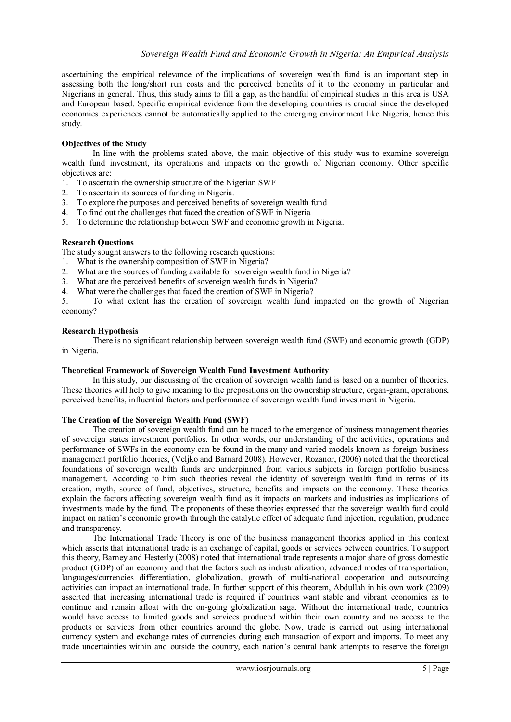ascertaining the empirical relevance of the implications of sovereign wealth fund is an important step in assessing both the long/short run costs and the perceived benefits of it to the economy in particular and Nigerians in general. Thus, this study aims to fill a gap, as the handful of empirical studies in this area is USA and European based. Specific empirical evidence from the developing countries is crucial since the developed economies experiences cannot be automatically applied to the emerging environment like Nigeria, hence this study.

#### **Objectives of the Study**

In line with the problems stated above, the main objective of this study was to examine sovereign wealth fund investment, its operations and impacts on the growth of Nigerian economy. Other specific objectives are:

- 1. To ascertain the ownership structure of the Nigerian SWF
- 2. To ascertain its sources of funding in Nigeria.
- 3. To explore the purposes and perceived benefits of sovereign wealth fund
- 4. To find out the challenges that faced the creation of SWF in Nigeria
- 5. To determine the relationship between SWF and economic growth in Nigeria.

#### **Research Questions**

The study sought answers to the following research questions:

- 1. What is the ownership composition of SWF in Nigeria?
- 2. What are the sources of funding available for sovereign wealth fund in Nigeria?
- 3. What are the perceived benefits of sovereign wealth funds in Nigeria?
- 4. What were the challenges that faced the creation of SWF in Nigeria?

5. To what extent has the creation of sovereign wealth fund impacted on the growth of Nigerian economy?

#### **Research Hypothesis**

There is no significant relationship between sovereign wealth fund (SWF) and economic growth (GDP) in Nigeria.

#### **Theoretical Framework of Sovereign Wealth Fund Investment Authority**

In this study, our discussing of the creation of sovereign wealth fund is based on a number of theories. These theories will help to give meaning to the prepositions on the ownership structure, organ-gram, operations, perceived benefits, influential factors and performance of sovereign wealth fund investment in Nigeria.

#### **The Creation of the Sovereign Wealth Fund (SWF)**

The creation of sovereign wealth fund can be traced to the emergence of business management theories of sovereign states investment portfolios. In other words, our understanding of the activities, operations and performance of SWFs in the economy can be found in the many and varied models known as foreign business management portfolio theories, (Veljko and Barnard 2008). However, Rozanor, (2006) noted that the theoretical foundations of sovereign wealth funds are underpinned from various subjects in foreign portfolio business management. According to him such theories reveal the identity of sovereign wealth fund in terms of its creation, myth, source of fund, objectives, structure, benefits and impacts on the economy. These theories explain the factors affecting sovereign wealth fund as it impacts on markets and industries as implications of investments made by the fund. The proponents of these theories expressed that the sovereign wealth fund could impact on nation's economic growth through the catalytic effect of adequate fund injection, regulation, prudence and transparency.

The International Trade Theory is one of the business management theories applied in this context which asserts that international trade is an exchange of capital, goods or services between countries. To support this theory, Barney and Hesterly (2008) noted that international trade represents a major share of gross domestic product (GDP) of an economy and that the factors such as industrialization, advanced modes of transportation, languages/currencies differentiation, globalization, growth of multi-national cooperation and outsourcing activities can impact an international trade. In further support of this theorem, Abdullah in his own work (2009) asserted that increasing international trade is required if countries want stable and vibrant economies as to continue and remain afloat with the on-going globalization saga. Without the international trade, countries would have access to limited goods and services produced within their own country and no access to the products or services from other countries around the globe. Now, trade is carried out using international currency system and exchange rates of currencies during each transaction of export and imports. To meet any trade uncertainties within and outside the country, each nation's central bank attempts to reserve the foreign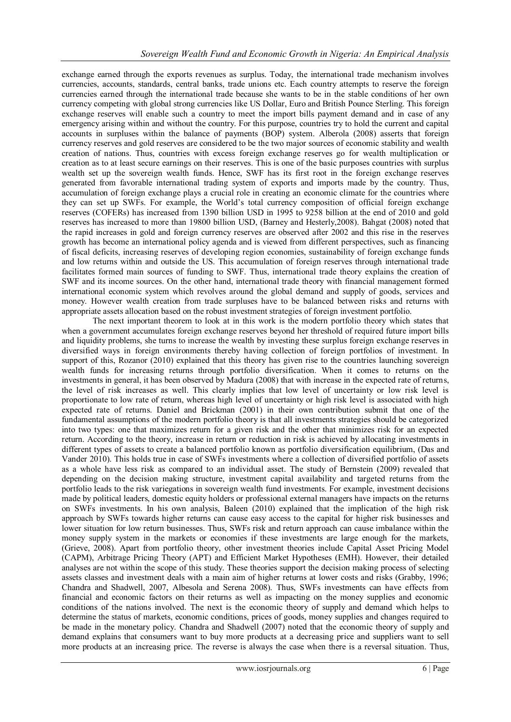exchange earned through the exports revenues as surplus. Today, the international trade mechanism involves currencies, accounts, standards, central banks, trade unions etc. Each country attempts to reserve the foreign currencies earned through the international trade because she wants to be in the stable conditions of her own currency competing with global strong currencies like US Dollar, Euro and British Pounce Sterling. This foreign exchange reserves will enable such a country to meet the import bills payment demand and in case of any emergency arising within and without the country. For this purpose, countries try to hold the current and capital accounts in surpluses within the balance of payments (BOP) system. Alberola (2008) asserts that foreign currency reserves and gold reserves are considered to be the two major sources of economic stability and wealth creation of nations. Thus, countries with excess foreign exchange reserves go for wealth multiplication or creation as to at least secure earnings on their reserves. This is one of the basic purposes countries with surplus wealth set up the sovereign wealth funds. Hence, SWF has its first root in the foreign exchange reserves generated from favorable international trading system of exports and imports made by the country. Thus, accumulation of foreign exchange plays a crucial role in creating an economic climate for the countries where they can set up SWFs. For example, the World's total currency composition of official foreign exchange reserves (COFERs) has increased from 1390 billion USD in 1995 to 9258 billion at the end of 2010 and gold reserves has increased to more than 19800 billion USD, (Barney and Hesterly,2008). Bahgat (2008) noted that the rapid increases in gold and foreign currency reserves are observed after 2002 and this rise in the reserves growth has become an international policy agenda and is viewed from different perspectives, such as financing of fiscal deficits, increasing reserves of developing region economies, sustainability of foreign exchange funds and low returns within and outside the US. This accumulation of foreign reserves through international trade facilitates formed main sources of funding to SWF. Thus, international trade theory explains the creation of SWF and its income sources. On the other hand, international trade theory with financial management formed international economic system which revolves around the global demand and supply of goods, services and money. However wealth creation from trade surpluses have to be balanced between risks and returns with appropriate assets allocation based on the robust investment strategies of foreign investment portfolio.

The next important theorem to look at in this work is the modern portfolio theory which states that when a government accumulates foreign exchange reserves beyond her threshold of required future import bills and liquidity problems, she turns to increase the wealth by investing these surplus foreign exchange reserves in diversified ways in foreign environments thereby having collection of foreign portfolios of investment. In support of this, Rozanor (2010) explained that this theory has given rise to the countries launching sovereign wealth funds for increasing returns through portfolio diversification. When it comes to returns on the investments in general, it has been observed by Madura (2008) that with increase in the expected rate of returns, the level of risk increases as well. This clearly implies that low level of uncertainty or low risk level is proportionate to low rate of return, whereas high level of uncertainty or high risk level is associated with high expected rate of returns. Daniel and Brickman (2001) in their own contribution submit that one of the fundamental assumptions of the modern portfolio theory is that all investments strategies should be categorized into two types: one that maximizes return for a given risk and the other that minimizes risk for an expected return. According to the theory, increase in return or reduction in risk is achieved by allocating investments in different types of assets to create a balanced portfolio known as portfolio diversification equilibrium, (Das and Vander 2010). This holds true in case of SWFs investments where a collection of diversified portfolio of assets as a whole have less risk as compared to an individual asset. The study of Bernstein (2009) revealed that depending on the decision making structure, investment capital availability and targeted returns from the portfolio leads to the risk variegations in sovereign wealth fund investments. For example, investment decisions made by political leaders, domestic equity holders or professional external managers have impacts on the returns on SWFs investments. In his own analysis, Baleen (2010) explained that the implication of the high risk approach by SWFs towards higher returns can cause easy access to the capital for higher risk businesses and lower situation for low return businesses. Thus, SWFs risk and return approach can cause imbalance within the money supply system in the markets or economies if these investments are large enough for the markets, (Grieve, 2008). Apart from portfolio theory, other investment theories include Capital Asset Pricing Model (CAPM), Arbitrage Pricing Theory (APT) and Efficient Market Hypotheses (EMH). However, their detailed analyses are not within the scope of this study. These theories support the decision making process of selecting assets classes and investment deals with a main aim of higher returns at lower costs and risks (Grabby, 1996; Chandra and Shadwell, 2007, Albesola and Serena 2008). Thus, SWFs investments can have effects from financial and economic factors on their returns as well as impacting on the money supplies and economic conditions of the nations involved. The next is the economic theory of supply and demand which helps to determine the status of markets, economic conditions, prices of goods, money supplies and changes required to be made in the monetary policy. Chandra and Shadwell (2007) noted that the economic theory of supply and demand explains that consumers want to buy more products at a decreasing price and suppliers want to sell more products at an increasing price. The reverse is always the case when there is a reversal situation. Thus,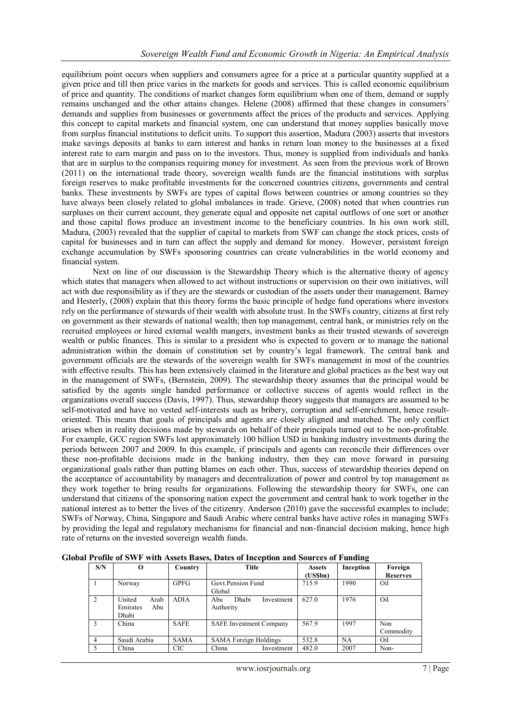equilibrium point occurs when suppliers and consumers agree for a price at a particular quantity supplied at a given price and till then price varies in the markets for goods and services. This is called economic equilibrium of price and quantity. The conditions of market changes form equilibrium when one of them, demand or supply remains unchanged and the other attains changes. Helene (2008) affirmed that these changes in consumers' demands and supplies from businesses or governments affect the prices of the products and services. Applying this concept to capital markets and financial system, one can understand that money supplies basically move from surplus financial institutions to deficit units. To support this assertion, Madura (2003) asserts that investors make savings deposits at banks to earn interest and banks in return loan money to the businesses at a fixed interest rate to earn margin and pass on to the investors. Thus, money is supplied from individuals and banks that are in surplus to the companies requiring money for investment. As seen from the previous work of Brown (2011) on the international trade theory, sovereign wealth funds are the financial institutions with surplus foreign reserves to make profitable investments for the concerned countries citizens, governments and central banks. These investments by SWFs are types of capital flows between countries or among countries so they have always been closely related to global imbalances in trade. Grieve, (2008) noted that when countries run surpluses on their current account, they generate equal and opposite net capital outflows of one sort or another and those capital flows produce an investment income to the beneficiary countries. In his own work still, Madura, (2003) revealed that the supplier of capital to markets from SWF can change the stock prices, costs of capital for businesses and in turn can affect the supply and demand for money. However, persistent foreign exchange accumulation by SWFs sponsoring countries can create vulnerabilities in the world economy and financial system.

Next on line of our discussion is the Stewardship Theory which is the alternative theory of agency which states that managers when allowed to act without instructions or supervision on their own initiatives, will act with due responsibility as if they are the stewards or custodian of the assets under their management. Barney and Hesterly, (2008) explain that this theory forms the basic principle of hedge fund operations where investors rely on the performance of stewards of their wealth with absolute trust. In the SWFs country, citizens at first rely on government as their stewards of national wealth; then top management, central bank, or ministries rely on the recruited employees or hired external wealth mangers, investment banks as their trusted stewards of sovereign wealth or public finances. This is similar to a president who is expected to govern or to manage the national administration within the domain of constitution set by country's legal framework. The central bank and government officials are the stewards of the sovereign wealth for SWFs management in most of the countries with effective results. This has been extensively claimed in the literature and global practices as the best way out in the management of SWFs, (Bernstein, 2009). The stewardship theory assumes that the principal would be satisfied by the agents single handed performance or collective success of agents would reflect in the organizations overall success (Davis, 1997). Thus, stewardship theory suggests that managers are assumed to be self-motivated and have no vested self-interests such as bribery, corruption and self-enrichment, hence resultoriented. This means that goals of principals and agents are closely aligned and matched. The only conflict arises when in reality decisions made by stewards on behalf of their principals turned out to be non-profitable. For example, GCC region SWFs lost approximately 100 billion USD in banking industry investments during the periods between 2007 and 2009. In this example, if principals and agents can reconcile their differences over these non-profitable decisions made in the banking industry, then they can move forward in pursuing organizational goals rather than putting blames on each other. Thus, success of stewardship theories depend on the acceptance of accountability by managers and decentralization of power and control by top management as they work together to bring results for organizations. Following the stewardship theory for SWFs, one can understand that citizens of the sponsoring nation expect the government and central bank to work together in the national interest as to better the lives of the citizenry. Anderson (2010) gave the successful examples to include; SWFs of Norway, China, Singapore and Saudi Arabic where central banks have active roles in managing SWFs by providing the legal and regulatory mechanisms for financial and non-financial decision making, hence high rate of returns on the invested sovereign wealth funds.

| S/N                      | О                                          | Country     | Title                                   | <b>Assets</b><br>(US\$bn) | Inception | Foreign<br><b>Reserves</b> |
|--------------------------|--------------------------------------------|-------------|-----------------------------------------|---------------------------|-----------|----------------------------|
|                          | Norway                                     | <b>GPFG</b> | Govt Pension Fund<br>Global             | 715.9                     | 1990      | Oil                        |
| 2                        | United<br>Arab<br>Emirates<br>Abu<br>Dhabi | <b>ADIA</b> | Dhabi<br>Abu<br>Investment<br>Authority | 627.0                     | 1976      | Oil                        |
| 3                        | China                                      | <b>SAFE</b> | <b>SAFE</b> Investment Company          | 567.9                     | 1997      | Non<br>Commodity           |
| 4                        | Saudi Arabia                               | <b>SAMA</b> | <b>SAMA Foreign Holdings</b>            | 532.8                     | <b>NA</b> | Oil                        |
| $\overline{\phantom{0}}$ | China                                      | <b>CIC</b>  | China<br>Investment                     | 482.0                     | 2007      | Non-                       |

**Global Profile of SWF with Assets Bases, Dates of Inception and Sources of Funding**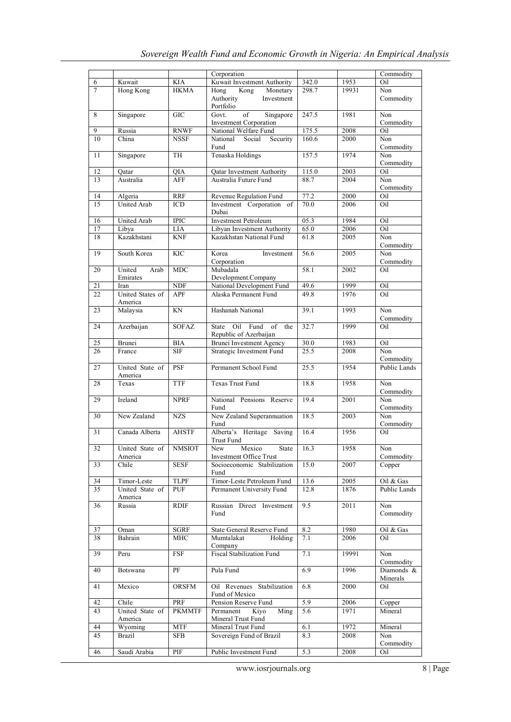|                 |                             |                         | Corporation                                                        |       |       | Commodity              |
|-----------------|-----------------------------|-------------------------|--------------------------------------------------------------------|-------|-------|------------------------|
| 6               | Kuwait                      | <b>KIA</b>              | Kuwait Investment Authority                                        | 342.0 | 1953  | Oil                    |
| $\overline{7}$  | Hong Kong                   | <b>HKMA</b>             | Hong<br>Kong<br>Monetary<br>Authority<br>Investment<br>Portfolio   | 298.7 | 19931 | Non<br>Commodity       |
| 8               | Singapore                   | <b>GIC</b>              | Govt.<br>of<br>Singapore<br><b>Investment Corporation</b>          | 247.5 | 1981  | Non<br>Commodity       |
| 9               | Russia                      | <b>RNWF</b>             | National Welfare Fund                                              | 175.5 | 2008  | $Oi\overline{l}$       |
| 10              | China                       | <b>NSSF</b>             | Security<br>National<br>Social<br>Fund                             | 160.6 | 2000  | Non<br>Commodity       |
| 11              | Singapore                   | TH                      | Tenaska Holdings                                                   | 157.5 | 1974  | Non<br>Commodity       |
| 12              | Qatar                       | QIA                     | Qatar Investment Authority                                         | 115.0 | 2003  | Oil                    |
| 13              | Australia                   | <b>AFF</b>              | Australia Future Fund                                              | 88.7  | 2004  | Non<br>Commodity       |
| 14              | Algeria                     | <b>RRF</b>              | Revenue Regulation Fund                                            | 77.2  | 2000  | Oil                    |
| 15              | <b>United Arab</b>          | <b>ICD</b>              | Investment Corporation of<br>Dubai                                 | 70.0  | 2006  | Oil                    |
| 16              | United Arab                 | <b>IPIC</b>             | <b>Investment Petroleum</b>                                        | 05.3  | 1984  | Oil                    |
| 17              | Libya                       | LIA                     | Libyan Investment Authority                                        | 65.0  | 2006  | Oil                    |
| 18              | Kazakhstani                 | <b>KNF</b>              | Kazakhstan National Fund                                           | 61.8  | 2005  | Non<br>Commodity       |
| 19              | South Korea                 | <b>KIC</b>              | Korea<br>Investment<br>Corporation                                 | 56.6  | 2005  | Non<br>Commodity       |
| 20              | United<br>Arab<br>Emirates  | <b>MDC</b>              | Mubadala<br>Development.Company                                    | 58.1  | 2002  | Oil                    |
| 21              | Iran                        | <b>NDF</b>              | National Development Fund                                          | 49.6  | 1999  | Oil                    |
| 22              | United States of<br>America | <b>APF</b>              | Alaska Permanent Fund                                              | 49.8  | 1976  | Oil                    |
| 23              | Malaysia                    | KN                      | Hashanah National                                                  | 39.1  | 1993  | Non<br>Commodity       |
| 24              | Azerbaijan                  | <b>SOFAZ</b>            | Oil<br>Fund<br>of<br>the<br><b>State</b><br>Republic of Azerbaijan | 32.7  | 1999  | Oil                    |
| 25              | Brunei                      | <b>BIA</b>              | <b>Brunei Investment Agency</b>                                    | 30.0  | 1983  | Oil                    |
| 26              | France                      | <b>SIF</b>              | Strategic Investment Fund                                          | 25.5  | 2008  | Non<br>Commodity       |
| 27              | United State of<br>America  | PSF                     | Permanent School Fund                                              | 25.5  | 1954  | <b>Public Lands</b>    |
| 28              | Texas                       | <b>TTF</b>              | <b>Texas Trust Fund</b>                                            | 18.8  | 1958  | Non<br>Commodity       |
| 29              | Ireland                     | <b>NPRF</b>             | National Pensions Reserve<br>Fund                                  | 19.4  | 2001  | Non<br>Commodity       |
| 30              | New Zealand                 | $\overline{\text{NZS}}$ | New Zealand Superannuation<br>Fund                                 | 18.5  | 2003  | Non<br>Commodity       |
| 31              | Canada Alberta              | <b>AHSTF</b>            | Alberta's Heritage<br>Saving<br><b>Trust Fund</b>                  | 16.4  | 1956  | Oil                    |
| 32              | United State of<br>America  | <b>NMSIOT</b>           | New<br>Mexico<br>State<br>Investment Office Trust                  | 16.3  | 1958  | Non<br>Commodity       |
| 33              | Chile                       | SESF                    | Socioeconomic Stabilization<br>Fund                                | 15.0  | 2007  | Copper                 |
| 34              | Timor-Leste                 | TLPF                    | Timor-Leste Petroleum Fund                                         | 13.6  | 2005  | Oil & Gas              |
| $\overline{35}$ | United State of<br>America  | PUF                     | Permanent University Fund                                          | 12.8  | 1876  | Public Lands           |
| 36              | Russia                      | <b>RDIF</b>             | Russian Direct Investment<br>Fund                                  | 9.5   | 2011  | Non<br>Commodity       |
| 37              | Oman                        | <b>SGRF</b>             | State General Reserve Fund                                         | 8.2   | 1980  | Oil & Gas              |
| 38              | Bahrain                     | MHC                     | Mumtalakat<br>Holding<br>Company                                   | 7.1   | 2006  | Oil                    |
| 39              | Peru                        | FSF                     | Fiscal Stabilization Fund                                          | 7.1   | 19991 | Non<br>Commodity       |
| 40              | Botswana                    | PF                      | Pula Fund                                                          | 6.9   | 1996  | Diamonds &<br>Minerals |
| 41              | Mexico                      | <b>ORSFM</b>            | Oil Revenues Stabilization<br>Fund of Mexico                       | 6.8   | 2000  | Oil                    |
| 42              | Chile                       | PRF                     | Pension Reserve Fund                                               | 5.9   | 2006  | Copper                 |
| 43              | United State of<br>America  | <b>PKMMTF</b>           | Permanent<br>Kiyo<br>Ming<br>Mineral Trust Fund                    | 5.6   | 1971  | Mineral                |
| 44              | Wyoming                     | <b>MTF</b>              | Mineral Trust Fund                                                 | 6.1   | 1972  | Mineral                |
| 45              | <b>Brazil</b>               | <b>SFB</b>              | Sovereign Fund of Brazil                                           | 8.3   | 2008  | Non<br>Commodity       |
| 46              | Saudi Arabia                | PIF                     | Public Investment Fund                                             | 5.3   | 2008  | Oil                    |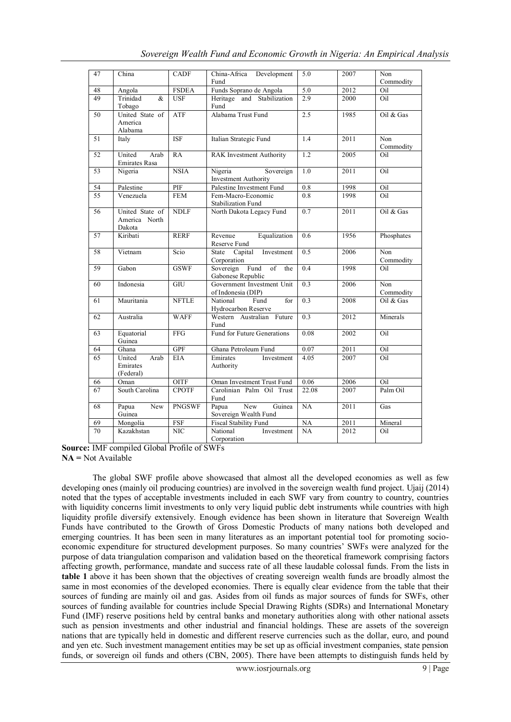| 47 | China                                      | <b>CADF</b>             | China-Africa Development<br>Fund                              | 5.0              | 2007 | Non<br>Commodity             |
|----|--------------------------------------------|-------------------------|---------------------------------------------------------------|------------------|------|------------------------------|
| 48 | Angola                                     | <b>FSDEA</b>            | Funds Soprano de Angola                                       | $\overline{5.0}$ | 2012 | Oil                          |
| 49 | Trinidad<br>$\&$<br>Tobago                 | <b>USF</b>              | Heritage and Stabilization<br>Fund                            | 2.9              | 2000 | Oil                          |
| 50 | United State of<br>America<br>Alabama      | <b>ATF</b>              | Alabama Trust Fund                                            | 2.5              | 1985 | Oil & Gas                    |
| 51 | Italy                                      | $\overline{\text{ISF}}$ | Italian Strategic Fund                                        | 1.4              | 2011 | N <sub>on</sub><br>Commodity |
| 52 | United<br>Arab<br><b>Emirates Rasa</b>     | RA                      | <b>RAK</b> Investment Authority                               | $\overline{1.2}$ | 2005 | Oil                          |
| 53 | Nigeria                                    | <b>NSIA</b>             | Sovereign<br>Nigeria<br><b>Investment Authority</b>           | $\overline{1.0}$ | 2011 | Oil                          |
| 54 | Palestine                                  | PIF                     | Palestine Investment Fund                                     | 0.8              | 1998 | Oil                          |
| 55 | Venezuela                                  | <b>FEM</b>              | Fem-Macro-Economic<br>Stabilization Fund                      | 0.8              | 1998 | Oil                          |
| 56 | United State of<br>America North<br>Dakota | <b>NDLF</b>             | North Dakota Legacy Fund                                      | $\overline{0.7}$ | 2011 | Oil & Gas                    |
| 57 | Kiribati                                   | <b>RERF</b>             | Equalization<br>Revenue<br>Reserve Fund                       | 0.6              | 1956 | Phosphates                   |
| 58 | Vietnam                                    | Scio                    | Investment<br>State<br>Capital<br>Corporation                 | 0.5              | 2006 | Non<br>Commodity             |
| 59 | Gabon                                      | GSWF                    | Sovereign Fund<br>$\overline{of}$<br>the<br>Gabonese Republic | 0.4              | 1998 | Oil                          |
| 60 | Indonesia                                  | <b>GIU</b>              | Government Investment Unit<br>of Indonesia (DIP)              | $\overline{0.3}$ | 2006 | Non<br>Commodity             |
| 61 | Mauritania                                 | <b>NFTLE</b>            | National<br>Fund<br>for<br>Hydrocarbon Reserve                | $\overline{0.3}$ | 2008 | Oil $&$ Gas                  |
| 62 | Australia                                  | <b>WAFF</b>             | Western Australian Future<br>Fund                             | $\overline{0.3}$ | 2012 | Minerals                     |
| 63 | Equatorial<br>Guinea                       | <b>FFG</b>              | Fund for Future Generations                                   | 0.08             | 2002 | Oil                          |
| 64 | Ghana                                      | <b>GPF</b>              | Ghana Petroleum Fund                                          | 0.07             | 2011 | Oil                          |
| 65 | United<br>Arab<br>Emirates<br>(Federal)    | <b>EIA</b>              | Emirates<br>Investment<br>Authority                           | 4.05             | 2007 | Oil                          |
| 66 | Oman                                       | $\overline{OITE}$       | Oman Investment Trust Fund                                    | 0.06             | 2006 | Oil                          |
| 67 | South Carolina                             | <b>CPOTF</b>            | Carolinian Palm Oil Trust<br>Fund                             | 22.08            | 2007 | Palm Oil                     |
| 68 | Papua<br>New<br>Guinea                     | <b>PNGSWF</b>           | <b>New</b><br>Papua<br>Guinea<br>Sovereign Wealth Fund        | NA               | 2011 | Gas                          |
| 69 | Mongolia                                   | $\overline{\text{FSF}}$ | <b>Fiscal Stability Fund</b>                                  | NA               | 2011 | Mineral                      |
| 70 | Kazakhstan                                 | <b>NIC</b>              | National<br>Investment<br>Corporation                         | NA               | 2012 | Oil                          |

*Sovereign Wealth Fund and Economic Growth in Nigeria: An Empirical Analysis*

**Source:** IMF compiled Global Profile of SWFs **NA =** Not Available

The global SWF profile above showcased that almost all the developed economies as well as few developing ones (mainly oil producing countries) are involved in the sovereign wealth fund project. Ujaij (2014) noted that the types of acceptable investments included in each SWF vary from country to country, countries with liquidity concerns limit investments to only very liquid public debt instruments while countries with high liquidity profile diversify extensively. Enough evidence has been shown in literature that Sovereign Wealth Funds have contributed to the Growth of Gross Domestic Products of many nations both developed and emerging countries. It has been seen in many literatures as an important potential tool for promoting socioeconomic expenditure for structured development purposes. So many countries' SWFs were analyzed for the purpose of data triangulation comparison and validation based on the theoretical framework comprising factors affecting growth, performance, mandate and success rate of all these laudable colossal funds. From the lists in **table 1** above it has been shown that the objectives of creating sovereign wealth funds are broadly almost the same in most economies of the developed economies. There is equally clear evidence from the table that their sources of funding are mainly oil and gas. Asides from oil funds as major sources of funds for SWFs, other sources of funding available for countries include Special Drawing Rights (SDRs) and International Monetary Fund (IMF) reserve positions held by central banks and monetary authorities along with other national assets such as pension investments and other industrial and financial holdings. These are assets of the sovereign nations that are typically held in domestic and different reserve currencies such as the dollar, euro, and pound and yen etc. Such investment management entities may be set up as official investment companies, state pension funds, or sovereign oil funds and others (CBN, 2005). There have been attempts to distinguish funds held by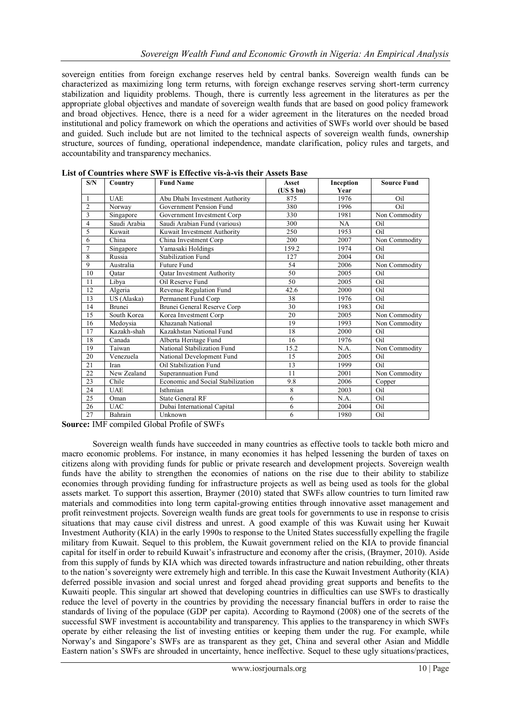sovereign entities from foreign exchange reserves held by central banks. Sovereign wealth funds can be characterized as maximizing long term returns, with foreign exchange reserves serving short-term currency stabilization and liquidity problems. Though, there is currently less agreement in the literatures as per the appropriate global objectives and mandate of sovereign wealth funds that are based on good policy framework and broad objectives. Hence, there is a need for a wider agreement in the literatures on the needed broad institutional and policy framework on which the operations and activities of SWFs world over should be based and guided. Such include but are not limited to the technical aspects of sovereign wealth funds, ownership structure, sources of funding, operational independence, mandate clarification, policy rules and targets, and accountability and transparency mechanics.

| S/N            | Country      | <b>Fund Name</b>                  | <b>Asset</b> | Inception | <b>Source Fund</b> |
|----------------|--------------|-----------------------------------|--------------|-----------|--------------------|
|                |              |                                   | (US S bn)    | Year      |                    |
| 1              | <b>UAE</b>   | Abu Dhabi Investment Authority    | 875          | 1976      | Oil                |
| $\overline{2}$ | Norway       | Government Pension Fund           | 380          | 1996      | Oil                |
| 3              | Singapore    | Government Investment Corp        | 330          | 1981      | Non Commodity      |
| 4              | Saudi Arabia | Saudi Arabian Fund (various)      | 300          | NA        | Oil                |
| 5              | Kuwait       | Kuwait Investment Authority       | 250          | 1953      | Oil                |
| 6              | China        | China Investment Corp             | 200          | 2007      | Non Commodity      |
| $\overline{7}$ | Singapore    | Yamasaki Holdings                 | 159.2        | 1974      | Oil                |
| 8              | Russia       | <b>Stabilization Fund</b>         | 127          | 2004      | Oil                |
| 9              | Australia    | <b>Future Fund</b>                | 54           | 2006      | Non Commodity      |
| 10             | Oatar        | <b>Qatar Investment Authority</b> | 50           | 2005      | Oil                |
| 11             | Libva        | Oil Reserve Fund                  | 50           | 2005      | Oil                |
| 12             | Algeria      | Revenue Regulation Fund           | 42.6         | 2000      | Oil                |
| 13             | US (Alaska)  | Permanent Fund Corp               | 38           | 1976      | Oil                |
| 14             | Brunei       | Brunei General Reserve Corp       | 30           | 1983      | Oil                |
| 15             | South Korea  | Korea Investment Corp             | 20           | 2005      | Non Commodity      |
| 16             | Medoysia     | Khazanah National                 | 19           | 1993      | Non Commodity      |
| 17             | Kazakh-shah  | Kazakhstan National Fund          | 18           | 2000      | Oil                |
| 18             | Canada       | Alberta Heritage Fund             | 16           | 1976      | Oil.               |
| 19             | Taiwan       | National Stabilization Fund       | 15.2         | N.A.      | Non Commodity      |
| 20             | Venezuela    | National Development Fund         | 15           | 2005      | Oil                |
| 21             | Iran         | Oil Stabilization Fund            | 13           | 1999      | Oil                |
| 22             | New Zealand  | Superannuation Fund               | 11           | 2001      | Non Commodity      |
| 23             | Chile        | Economic and Social Stabilization | 9.8          | 2006      | Copper             |
| 24             | <b>UAE</b>   | Isthmian                          | 8            | 2003      | Oil                |
| 25             | Oman         | <b>State General RF</b>           | 6            | N.A.      | Oil                |
| 26             | <b>UAC</b>   | Dubai International Capital       | 6            | 2004      | Oil                |
| 27             | Bahrain      | Unknown                           | 6            | 1980      | Oil                |

**List of Countries where SWF is Effective vis-à-vis their Assets Base** 

**Source:** IMF compiled Global Profile of SWFs

Sovereign wealth funds have succeeded in many countries as effective tools to tackle both micro and macro economic problems. For instance, in many economies it has helped lessening the burden of taxes on citizens along with providing funds for public or private research and development projects. Sovereign wealth funds have the ability to strengthen the economies of nations on the rise due to their ability to stabilize economies through providing funding for infrastructure projects as well as being used as tools for the global assets market. To support this assertion, Braymer (2010) stated that SWFs allow countries to turn limited raw materials and commodities into long term capital-growing entities through innovative asset management and profit reinvestment projects. Sovereign wealth funds are great tools for governments to use in response to crisis situations that may cause civil distress and unrest. A good example of this was Kuwait using her Kuwait Investment Authority (KIA) in the early 1990s to response to the United States successfully expelling the fragile military from Kuwait. Sequel to this problem, the Kuwait government relied on the KIA to provide financial capital for itself in order to rebuild Kuwait's infrastructure and economy after the crisis, (Braymer, 2010). Aside from this supply of funds by KIA which was directed towards infrastructure and nation rebuilding, other threats to the nation's sovereignty were extremely high and terrible. In this case the Kuwait Investment Authority (KIA) deferred possible invasion and social unrest and forged ahead providing great supports and benefits to the Kuwaiti people. This singular art showed that developing countries in difficulties can use SWFs to drastically reduce the level of poverty in the countries by providing the necessary financial buffers in order to raise the standards of living of the populace (GDP per capita). According to Raymond (2008) one of the secrets of the successful SWF investment is accountability and transparency. This applies to the transparency in which SWFs operate by either releasing the list of investing entities or keeping them under the rug. For example, while Norway's and Singapore's SWFs are as transparent as they get, China and several other Asian and Middle Eastern nation's SWFs are shrouded in uncertainty, hence ineffective. Sequel to these ugly situations/practices,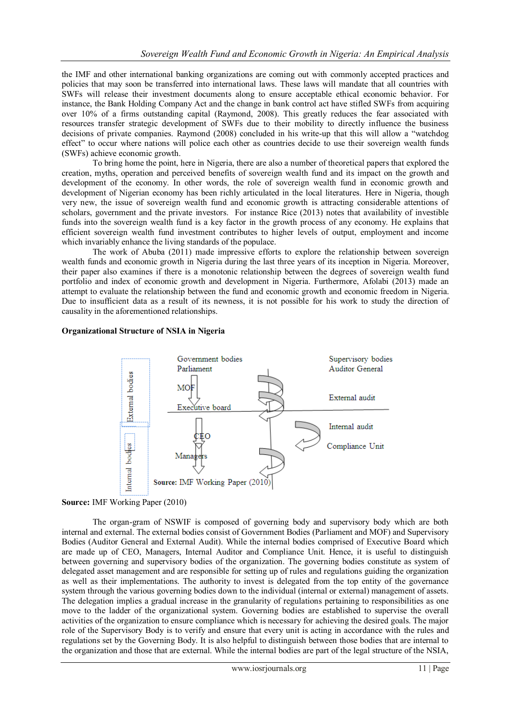the IMF and other international banking organizations are coming out with commonly accepted practices and policies that may soon be transferred into international laws. These laws will mandate that all countries with SWFs will release their investment documents along to ensure acceptable ethical economic behavior. For instance, the Bank Holding Company Act and the change in bank control act have stifled SWFs from acquiring over 10% of a firms outstanding capital (Raymond, 2008). This greatly reduces the fear associated with resources transfer strategic development of SWFs due to their mobility to directly influence the business decisions of private companies. Raymond (2008) concluded in his write-up that this will allow a "watchdog effect" to occur where nations will police each other as countries decide to use their sovereign wealth funds (SWFs) achieve economic growth.

To bring home the point, here in Nigeria, there are also a number of theoretical papers that explored the creation, myths, operation and perceived benefits of sovereign wealth fund and its impact on the growth and development of the economy. In other words, the role of sovereign wealth fund in economic growth and development of Nigerian economy has been richly articulated in the local literatures. Here in Nigeria, though very new, the issue of sovereign wealth fund and economic growth is attracting considerable attentions of scholars, government and the private investors. For instance Rice (2013) notes that availability of investible funds into the sovereign wealth fund is a key factor in the growth process of any economy. He explains that efficient sovereign wealth fund investment contributes to higher levels of output, employment and income which invariably enhance the living standards of the populace.

The work of Abuba (2011) made impressive efforts to explore the relationship between sovereign wealth funds and economic growth in Nigeria during the last three years of its inception in Nigeria. Moreover, their paper also examines if there is a monotonic relationship between the degrees of sovereign wealth fund portfolio and index of economic growth and development in Nigeria. Furthermore, Afolabi (2013) made an attempt to evaluate the relationship between the fund and economic growth and economic freedom in Nigeria. Due to insufficient data as a result of its newness, it is not possible for his work to study the direction of causality in the aforementioned relationships.

# **Organizational Structure of NSIA in Nigeria**



# **Source:** IMF Working Paper (2010)

The organ-gram of NSWIF is composed of governing body and supervisory body which are both internal and external. The external bodies consist of Government Bodies (Parliament and MOF) and Supervisory Bodies (Auditor General and External Audit). While the internal bodies comprised of Executive Board which are made up of CEO, Managers, Internal Auditor and Compliance Unit. Hence, it is useful to distinguish between governing and supervisory bodies of the organization. The governing bodies constitute as system of delegated asset management and are responsible for setting up of rules and regulations guiding the organization as well as their implementations. The authority to invest is delegated from the top entity of the governance system through the various governing bodies down to the individual (internal or external) management of assets. The delegation implies a gradual increase in the granularity of regulations pertaining to responsibilities as one move to the ladder of the organizational system. Governing bodies are established to supervise the overall activities of the organization to ensure compliance which is necessary for achieving the desired goals. The major role of the Supervisory Body is to verify and ensure that every unit is acting in accordance with the rules and regulations set by the Governing Body. It is also helpful to distinguish between those bodies that are internal to the organization and those that are external. While the internal bodies are part of the legal structure of the NSIA,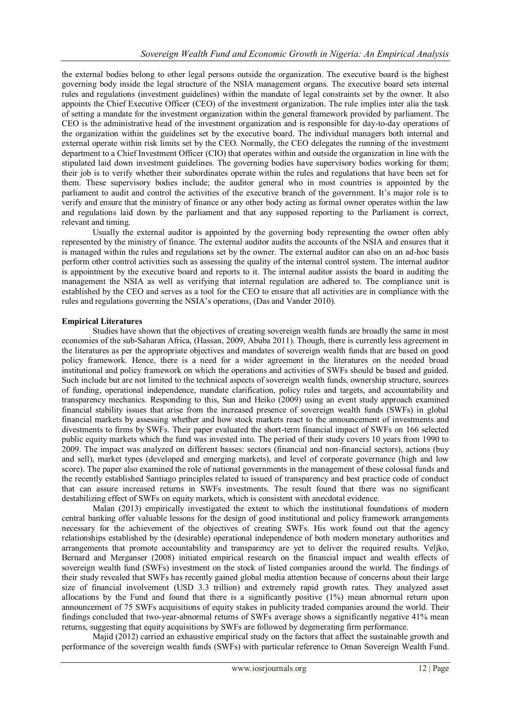the external bodies belong to other legal persons outside the organization. The executive board is the highest governing body inside the legal structure of the NSIA management organs. The executive board sets internal rules and regulations (investment guidelines) within the mandate of legal constraints set by the owner. It also appoints the Chief Executive Officer (CEO) of the investment organization. The rule implies inter alia the task of setting a mandate for the investment organization within the general framework provided by parliament. The CEO is the administrative head of the investment organization and is responsible for day-to-day operations of the organization within the guidelines set by the executive board. The individual managers both internal and external operate within risk limits set by the CEO. Normally, the CEO delegates the running of the investment department to a Chief Investment Officer (CIO) that operates within and outside the organization in line with the stipulated laid down investment guidelines. The governing bodies have supervisory bodies working for them; their job is to verify whether their subordinates operate within the rules and regulations that have been set for them. These supervisory bodies include; the auditor general who in most countries is appointed by the parliament to audit and control the activities of the executive branch of the government. It's major role is to verify and ensure that the ministry of finance or any other body acting as formal owner operates within the law and regulations laid down by the parliament and that any supposed reporting to the Parliament is correct, relevant and timing.

Usually the external auditor is appointed by the governing body representing the owner often ably represented by the ministry of finance. The external auditor audits the accounts of the NSIA and ensures that it is managed within the rules and regulations set by the owner. The external auditor can also on an ad-hoc basis perform other control activities such as assessing the quality of the internal control system. The internal auditor is appointment by the executive board and reports to it. The internal auditor assists the board in auditing the management the NSIA as well as verifying that internal regulation are adhered to. The compliance unit is established by the CEO and serves as a tool for the CEO to ensure that all activities are in compliance with the rules and regulations governing the NSIA's operations, (Das and Vander 2010).

# **Empirical Literatures**

Studies have shown that the objectives of creating sovereign wealth funds are broadly the same in most economies of the sub-Saharan Africa, (Hassan, 2009, Abuba 2011). Though, there is currently less agreement in the literatures as per the appropriate objectives and mandates of sovereign wealth funds that are based on good policy framework. Hence, there is a need for a wider agreement in the literatures on the needed broad institutional and policy framework on which the operations and activities of SWFs should be based and guided. Such include but are not limited to the technical aspects of sovereign wealth funds, ownership structure, sources of funding, operational independence, mandate clarification, policy rules and targets, and accountability and transparency mechanics. Responding to this, Sun and Heiko (2009) using an event study approach examined financial stability issues that arise from the increased presence of sovereign wealth funds (SWFs) in global financial markets by assessing whether and how stock markets react to the announcement of investments and divestments to firms by SWFs. Their paper evaluated the short-term financial impact of SWFs on 166 selected public equity markets which the fund was invested into. The period of their study covers 10 years from 1990 to 2009. The impact was analyzed on different basses: sectors (financial and non-financial sectors), actions (buy and sell), market types (developed and emerging markets), and level of corporate governance (high and low score). The paper also examined the role of national governments in the management of these colossal funds and the recently established Santiago principles related to issued of transparency and best practice code of conduct that can assure increased returns in SWFs investments. The result found that there was no significant destabilizing effect of SWFs on equity markets, which is consistent with anecdotal evidence.

Malan (2013) empirically investigated the extent to which the institutional foundations of modern central banking offer valuable lessons for the design of good institutional and policy framework arrangements necessary for the achievement of the objectives of creating SWFs. His work found out that the agency relationships established by the (desirable) operational independence of both modern monetary authorities and arrangements that promote accountability and transparency are yet to deliver the required results. Veljko, Bernard and Merganser (2008) initiated empirical research on the financial impact and wealth effects of sovereign wealth fund (SWFs) investment on the stock of listed companies around the world. The findings of their study revealed that SWFs has recently gained global media attention because of concerns about their large size of financial involvement (USD 3.3 trillion) and extremely rapid growth rates. They analyzed asset allocations by the Fund and found that there is a significantly positive (1%) mean abnormal return upon announcement of 75 SWFs acquisitions of equity stakes in publicity traded companies around the world. Their findings concluded that two-year-abnormal returns of SWFs average shows a significantly negative 41% mean returns, suggesting that equity acquisitions by SWFs are followed by degenerating firm performance.

Majid (2012) carried an exhaustive empirical study on the factors that affect the sustainable growth and performance of the sovereign wealth funds (SWFs) with particular reference to Oman Sovereign Wealth Fund.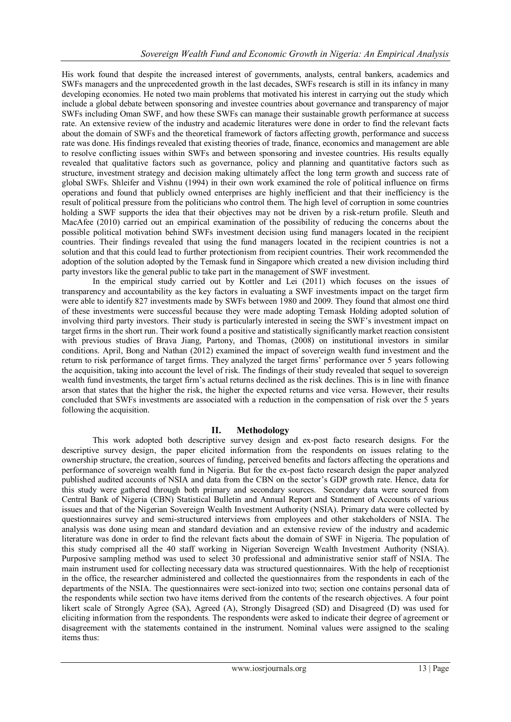His work found that despite the increased interest of governments, analysts, central bankers, academics and SWFs managers and the unprecedented growth in the last decades, SWFs research is still in its infancy in many developing economies. He noted two main problems that motivated his interest in carrying out the study which include a global debate between sponsoring and investee countries about governance and transparency of major SWFs including Oman SWF, and how these SWFs can manage their sustainable growth performance at success rate. An extensive review of the industry and academic literatures were done in order to find the relevant facts about the domain of SWFs and the theoretical framework of factors affecting growth, performance and success rate was done. His findings revealed that existing theories of trade, finance, economics and management are able to resolve conflicting issues within SWFs and between sponsoring and investee countries. His results equally revealed that qualitative factors such as governance, policy and planning and quantitative factors such as structure, investment strategy and decision making ultimately affect the long term growth and success rate of global SWFs. Shleifer and Vishnu (1994) in their own work examined the role of political influence on firms operations and found that publicly owned enterprises are highly inefficient and that their inefficiency is the result of political pressure from the politicians who control them. The high level of corruption in some countries holding a SWF supports the idea that their objectives may not be driven by a risk-return profile. Sleuth and MacAfee (2010) carried out an empirical examination of the possibility of reducing the concerns about the possible political motivation behind SWFs investment decision using fund managers located in the recipient countries. Their findings revealed that using the fund managers located in the recipient countries is not a solution and that this could lead to further protectionism from recipient countries. Their work recommended the adoption of the solution adopted by the Temask fund in Singapore which created a new division including third party investors like the general public to take part in the management of SWF investment.

In the empirical study carried out by Kottler and Lei (2011) which focuses on the issues of transparency and accountability as the key factors in evaluating a SWF investments impact on the target firm were able to identify 827 investments made by SWFs between 1980 and 2009. They found that almost one third of these investments were successful because they were made adopting Temask Holding adopted solution of involving third party investors. Their study is particularly interested in seeing the SWF's investment impact on target firms in the short run. Their work found a positive and statistically significantly market reaction consistent with previous studies of Brava Jiang, Partony, and Thomas, (2008) on institutional investors in similar conditions. April, Bong and Nathan (2012) examined the impact of sovereign wealth fund investment and the return to risk performance of target firms. They analyzed the target firms' performance over 5 years following the acquisition, taking into account the level of risk. The findings of their study revealed that sequel to sovereign wealth fund investments, the target firm's actual returns declined as the risk declines. This is in line with finance arson that states that the higher the risk, the higher the expected returns and vice versa. However, their results concluded that SWFs investments are associated with a reduction in the compensation of risk over the 5 years following the acquisition.

# **II. Methodology**

This work adopted both descriptive survey design and ex-post facto research designs. For the descriptive survey design, the paper elicited information from the respondents on issues relating to the ownership structure, the creation, sources of funding, perceived benefits and factors affecting the operations and performance of sovereign wealth fund in Nigeria. But for the ex-post facto research design the paper analyzed published audited accounts of NSIA and data from the CBN on the sector's GDP growth rate. Hence, data for this study were gathered through both primary and secondary sources. Secondary data were sourced from Central Bank of Nigeria (CBN) Statistical Bulletin and Annual Report and Statement of Accounts of various issues and that of the Nigerian Sovereign Wealth Investment Authority (NSIA). Primary data were collected by questionnaires survey and semi-structured interviews from employees and other stakeholders of NSIA. The analysis was done using mean and standard deviation and an extensive review of the industry and academic literature was done in order to find the relevant facts about the domain of SWF in Nigeria. The population of this study comprised all the 40 staff working in Nigerian Sovereign Wealth Investment Authority (NSIA). Purposive sampling method was used to select 30 professional and administrative senior staff of NSIA. The main instrument used for collecting necessary data was structured questionnaires. With the help of receptionist in the office, the researcher administered and collected the questionnaires from the respondents in each of the departments of the NSIA. The questionnaires were sect-ionized into two; section one contains personal data of the respondents while section two have items derived from the contents of the research objectives. A four point likert scale of Strongly Agree (SA), Agreed (A), Strongly Disagreed (SD) and Disagreed (D) was used for eliciting information from the respondents. The respondents were asked to indicate their degree of agreement or disagreement with the statements contained in the instrument. Nominal values were assigned to the scaling items thus: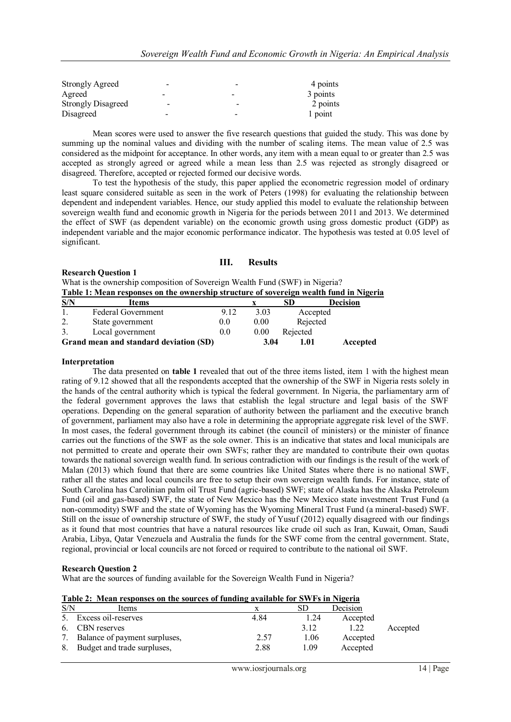| <b>Strongly Agreed</b>    | -               |                          | 4 points |
|---------------------------|-----------------|--------------------------|----------|
| Agreed                    | -               | $\overline{\phantom{a}}$ | 3 points |
| <b>Strongly Disagreed</b> | $\qquad \qquad$ | -                        | 2 points |
| Disagreed                 | -               | $\overline{\phantom{0}}$ | 1 point  |

Mean scores were used to answer the five research questions that guided the study. This was done by summing up the nominal values and dividing with the number of scaling items. The mean value of 2.5 was considered as the midpoint for acceptance. In other words, any item with a mean equal to or greater than 2.5 was accepted as strongly agreed or agreed while a mean less than 2.5 was rejected as strongly disagreed or disagreed. Therefore, accepted or rejected formed our decisive words.

To test the hypothesis of the study, this paper applied the econometric regression model of ordinary least square considered suitable as seen in the work of Peters (1998) for evaluating the relationship between dependent and independent variables. Hence, our study applied this model to evaluate the relationship between sovereign wealth fund and economic growth in Nigeria for the periods between 2011 and 2013. We determined the effect of SWF (as dependent variable) on the economic growth using gross domestic product (GDP) as independent variable and the major economic performance indicator. The hypothesis was tested at 0.05 level of significant.

# **III. Results**

#### **Research Question 1**

What is the ownership composition of Sovereign Wealth Fund (SWF) in Nigeria? **Table 1: Mean responses on the ownership structure of sovereign wealth fund in Nigeria**

| S/N | Items                                  |         |      | SD       | <b>Decision</b> |
|-----|----------------------------------------|---------|------|----------|-----------------|
|     | <b>Federal Government</b>              | 9.12    | 3.03 | Accepted |                 |
| 2.  | State government                       | $0.0\,$ | 0.00 | Rejected |                 |
| 3.  | Local government                       | 0.0     | 0.00 | Rejected |                 |
|     | Grand mean and standard deviation (SD) |         | 3.04 | 1.01     | Accepted        |

#### **Interpretation**

The data presented on **table 1** revealed that out of the three items listed, item 1 with the highest mean rating of 9.12 showed that all the respondents accepted that the ownership of the SWF in Nigeria rests solely in the hands of the central authority which is typical the federal government. In Nigeria, the parliamentary arm of the federal government approves the laws that establish the legal structure and legal basis of the SWF operations. Depending on the general separation of authority between the parliament and the executive branch of government, parliament may also have a role in determining the appropriate aggregate risk level of the SWF. In most cases, the federal government through its cabinet (the council of ministers) or the minister of finance carries out the functions of the SWF as the sole owner. This is an indicative that states and local municipals are not permitted to create and operate their own SWFs; rather they are mandated to contribute their own quotas towards the national sovereign wealth fund. In serious contradiction with our findings is the result of the work of Malan (2013) which found that there are some countries like United States where there is no national SWF, rather all the states and local councils are free to setup their own sovereign wealth funds. For instance, state of South Carolina has Carolinian palm oil Trust Fund (agric-based) SWF; state of Alaska has the Alaska Petroleum Fund (oil and gas-based) SWF, the state of New Mexico has the New Mexico state investment Trust Fund (a non-commodity) SWF and the state of Wyoming has the Wyoming Mineral Trust Fund (a mineral-based) SWF. Still on the issue of ownership structure of SWF, the study of Yusuf (2012) equally disagreed with our findings as it found that most countries that have a natural resources like crude oil such as Iran, Kuwait, Oman, Saudi Arabia, Libya, Qatar Venezuela and Australia the funds for the SWF come from the central government. State, regional, provincial or local councils are not forced or required to contribute to the national oil SWF.

# **Research Question 2**

What are the sources of funding available for the Sovereign Wealth Fund in Nigeria?

| Table 2: Mean responses on the sources of funding available for SWFs in Nigeria |
|---------------------------------------------------------------------------------|
|---------------------------------------------------------------------------------|

| S/N | <b>Items</b>                  |      | SD   | Decision |          |
|-----|-------------------------------|------|------|----------|----------|
|     | Excess oil-reserves           | 4.84 | 1.24 | Accepted |          |
| 6.  | <b>CBN</b> reserves           |      | 3.12 |          | Accepted |
|     | Balance of payment surpluses, | 2.57 | 1.06 | Accepted |          |
| 8.  | Budget and trade surpluses,   | 2.88 | 1.09 | Accepted |          |
|     |                               |      |      |          |          |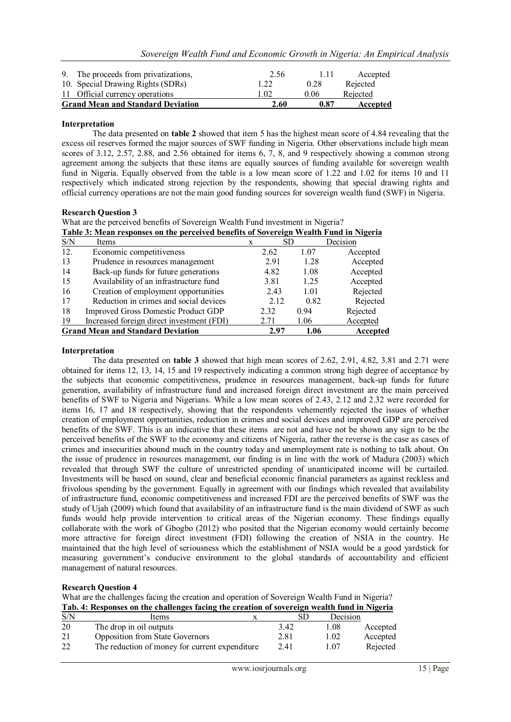| 9. The proceeds from privatizations,     | 2.56 | 111  | Accepted |
|------------------------------------------|------|------|----------|
| 10. Special Drawing Rights (SDRs)        | 1.22 | 0.28 | Rejected |
| 11 Official currency operations          | 1 02 | 0.06 | Rejected |
| <b>Grand Mean and Standard Deviation</b> | 2.60 | 0.87 | Accepted |

#### **Interpretation**

The data presented on **table 2** showed that item 5 has the highest mean score of 4.84 revealing that the excess oil reserves formed the major sources of SWF funding in Nigeria. Other observations include high mean scores of 3.12, 2.57, 2.88, and 2.56 obtained for items 6, 7, 8, and 9 respectively showing a common strong agreement among the subjects that these items are equally sources of funding available for sovereign wealth fund in Nigeria. Equally observed from the table is a low mean score of 1.22 and 1.02 for items 10 and 11 respectively which indicated strong rejection by the respondents, showing that special drawing rights and official currency operations are not the main good funding sources for sovereign wealth fund (SWF) in Nigeria.

#### **Research Question 3**

What are the perceived benefits of Sovereign Wealth Fund investment in Nigeria? **Table 3: Mean responses on the perceived benefits of Sovereign Wealth Fund in Nigeria**

| S/N | Items                                      |      | SD   | Decision |
|-----|--------------------------------------------|------|------|----------|
| 12. | Economic competitiveness                   | 2.62 | 1.07 | Accepted |
| 13  | Prudence in resources management           | 2.91 | 1.28 | Accepted |
| 14  | Back-up funds for future generations       | 4.82 | 1.08 | Accepted |
| 15  | Availability of an infrastructure fund     | 3.81 | 1.25 | Accepted |
| 16  | Creation of employment opportunities       | 2.43 | 1.01 | Rejected |
| 17  | Reduction in crimes and social devices     | 2.12 | 0.82 | Rejected |
| 18  | <b>Improved Gross Domestic Product GDP</b> | 2.32 | 0.94 | Rejected |
| 19  | Increased foreign direct investment (FDI)  | 2.71 | 1.06 | Accepted |
|     | <b>Grand Mean and Standard Deviation</b>   | 2.97 | 1.06 | Accepted |

#### **Interpretation**

The data presented on **table 3** showed that high mean scores of 2.62, 2.91, 4.82, 3.81 and 2.71 were obtained for items 12, 13, 14, 15 and 19 respectively indicating a common strong high degree of acceptance by the subjects that economic competitiveness, prudence in resources management, back-up funds for future generation, availability of infrastructure fund and increased foreign direct investment are the main perceived benefits of SWF to Nigeria and Nigerians. While a low mean scores of 2.43, 2.12 and 2.32 were recorded for items 16, 17 and 18 respectively, showing that the respondents vehemently rejected the issues of whether creation of employment opportunities, reduction in crimes and social devices and improved GDP are perceived benefits of the SWF. This is an indicative that these items are not and have not be shown any sign to be the perceived benefits of the SWF to the economy and citizens of Nigeria, rather the reverse is the case as cases of crimes and insecurities abound much in the country today and unemployment rate is nothing to talk about. On the issue of prudence in resources management, our finding is in line with the work of Madura (2003) which revealed that through SWF the culture of unrestricted spending of unanticipated income will be curtailed. Investments will be based on sound, clear and beneficial economic financial parameters as against reckless and frivolous spending by the government. Equally in agreement with our findings which revealed that availability of infrastructure fund, economic competitiveness and increased FDI are the perceived benefits of SWF was the study of Ujah (2009) which found that availability of an infrastructure fund is the main dividend of SWF as such funds would help provide intervention to critical areas of the Nigerian economy. These findings equally collaborate with the work of Gbogbo (2012) who posited that the Nigerian economy would certainly become more attractive for foreign direct investment (FDI) following the creation of NSIA in the country. He maintained that the high level of seriousness which the establishment of NSIA would be a good yardstick for measuring government's conducive environment to the global standards of accountability and efficient management of natural resources.

# **Research Question 4**

What are the challenges facing the creation and operation of Sovereign Wealth Fund in Nigeria? **Tab. 4: Responses on the challenges facing the creation of sovereign wealth fund in Nigeria**

| S/N | Items                                          | SD   | Decision |          |
|-----|------------------------------------------------|------|----------|----------|
| 20  | The drop in oil outputs                        | 3.42 | 1.08     | Accepted |
| 21  | <b>Opposition from State Governors</b>         | 2.81 | 1.02     | Accepted |
| 22  | The reduction of money for current expenditure | 2.41 | 1.07     | Rejected |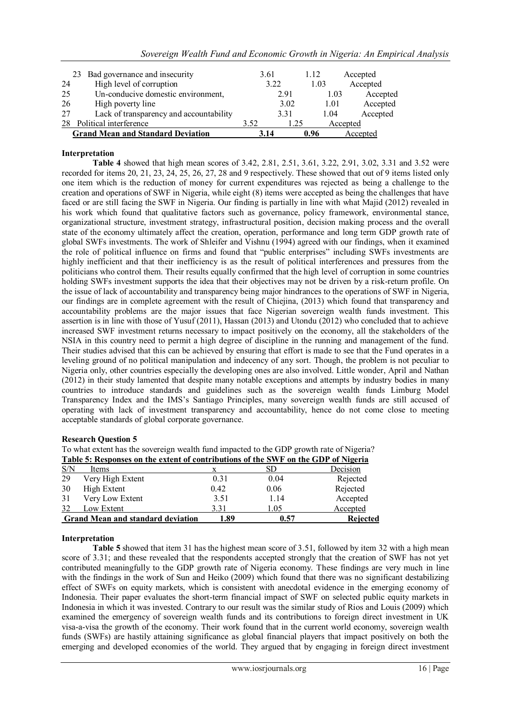|  |  | Sovereign Wealth Fund and Economic Growth in Nigeria: An Empirical Analysis |  |
|--|--|-----------------------------------------------------------------------------|--|
|  |  |                                                                             |  |

|    | 23 Bad governance and insecurity         | 3.61 |      | 1.12 | Accepted |
|----|------------------------------------------|------|------|------|----------|
| 24 | High level of corruption                 |      | 3.22 | 1.03 | Accepted |
| 25 | Un-conducive domestic environment,       |      | 2.91 | 1.03 | Accepted |
| 26 | High poverty line                        |      | 3.02 | 1.01 | Accepted |
| 27 | Lack of transparency and accountability  |      | 3.31 | 1.04 | Accepted |
|    | Political interference                   | 3.52 | 1.25 |      | Accepted |
|    | <b>Grand Mean and Standard Deviation</b> | 3.14 |      | 0.96 | Accepted |

# **Interpretation**

**Table 4** showed that high mean scores of 3.42, 2.81, 2.51, 3.61, 3.22, 2.91, 3.02, 3.31 and 3.52 were recorded for items 20, 21, 23, 24, 25, 26, 27, 28 and 9 respectively. These showed that out of 9 items listed only one item which is the reduction of money for current expenditures was rejected as being a challenge to the creation and operations of SWF in Nigeria, while eight (8) items were accepted as being the challenges that have faced or are still facing the SWF in Nigeria. Our finding is partially in line with what Majid (2012) revealed in his work which found that qualitative factors such as governance, policy framework, environmental stance, organizational structure, investment strategy, infrastructural position, decision making process and the overall state of the economy ultimately affect the creation, operation, performance and long term GDP growth rate of global SWFs investments. The work of Shleifer and Vishnu (1994) agreed with our findings, when it examined the role of political influence on firms and found that "public enterprises" including SWFs investments are highly inefficient and that their inefficiency is as the result of political interferences and pressures from the politicians who control them. Their results equally confirmed that the high level of corruption in some countries holding SWFs investment supports the idea that their objectives may not be driven by a risk-return profile. On the issue of lack of accountability and transparency being major hindrances to the operations of SWF in Nigeria, our findings are in complete agreement with the result of Chiejina, (2013) which found that transparency and accountability problems are the major issues that face Nigerian sovereign wealth funds investment. This assertion is in line with those of Yusuf (2011), Hassan (2013) and Utondu (2012) who concluded that to achieve increased SWF investment returns necessary to impact positively on the economy, all the stakeholders of the NSIA in this country need to permit a high degree of discipline in the running and management of the fund. Their studies advised that this can be achieved by ensuring that effort is made to see that the Fund operates in a leveling ground of no political manipulation and indecency of any sort. Though, the problem is not peculiar to Nigeria only, other countries especially the developing ones are also involved. Little wonder, April and Nathan (2012) in their study lamented that despite many notable exceptions and attempts by industry bodies in many countries to introduce standards and guidelines such as the sovereign wealth funds Limburg Model Transparency Index and the IMS's Santiago Principles, many sovereign wealth funds are still accused of operating with lack of investment transparency and accountability, hence do not come close to meeting acceptable standards of global corporate governance.

# **Research Question 5**

| To what extent has the sovereign wealth fund impacted to the GDP growth rate of Nigeria? |  |
|------------------------------------------------------------------------------------------|--|
| Table 5: Responses on the extent of contributions of the SWF on the GDP of Nigeria       |  |

| S/N | Items                                    |      |      | Decision        |
|-----|------------------------------------------|------|------|-----------------|
| 29  | Very High Extent                         | 0.31 | 0.04 | Rejected        |
| 30  | High Extent                              | 0.42 | 0.06 | Rejected        |
| 31  | Very Low Extent                          | 3.51 | 1 14 | Accepted        |
|     | Low Extent                               | 3.31 | 1.05 | Accepted        |
|     | <b>Grand Mean and standard deviation</b> | 1.89 | 0.57 | <b>Rejected</b> |

# **Interpretation**

**Table 5** showed that item 31 has the highest mean score of 3.51, followed by item 32 with a high mean score of 3.31; and these revealed that the respondents accepted strongly that the creation of SWF has not yet contributed meaningfully to the GDP growth rate of Nigeria economy. These findings are very much in line with the findings in the work of Sun and Heiko (2009) which found that there was no significant destabilizing effect of SWFs on equity markets, which is consistent with anecdotal evidence in the emerging economy of Indonesia. Their paper evaluates the short-term financial impact of SWF on selected public equity markets in Indonesia in which it was invested. Contrary to our result was the similar study of Rios and Louis (2009) which examined the emergency of sovereign wealth funds and its contributions to foreign direct investment in UK visa-a-visa the growth of the economy. Their work found that in the current world economy, sovereign wealth funds (SWFs) are hastily attaining significance as global financial players that impact positively on both the emerging and developed economies of the world. They argued that by engaging in foreign direct investment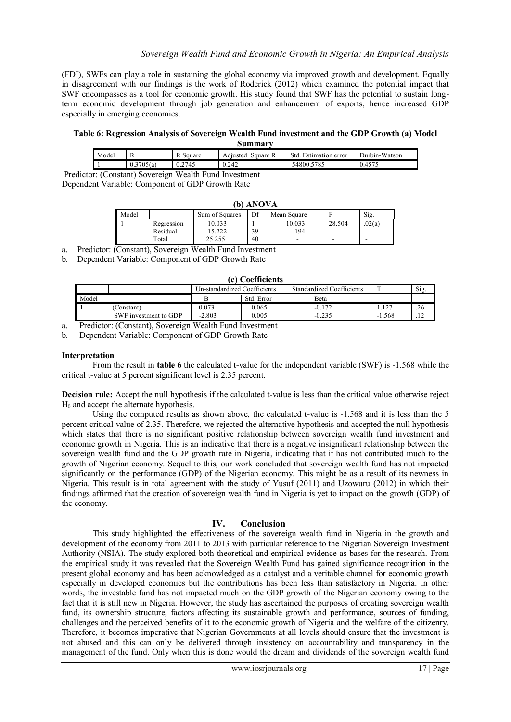(FDI), SWFs can play a role in sustaining the global economy via improved growth and development. Equally in disagreement with our findings is the work of Roderick (2012) which examined the potential impact that SWF encompasses as a tool for economic growth. His study found that SWF has the potential to sustain longterm economic development through job generation and enhancement of exports, hence increased GDP especially in emerging economies.

#### **Table 6: Regression Analysis of Sovereign Wealth Fund investment and the GDP Growth (a) Model Summary**

| wummu v |               |        |                      |                          |               |  |
|---------|---------------|--------|----------------------|--------------------------|---------------|--|
| Model   | R             | Square | Square R<br>Adıusted | Std.<br>Estimation error | Durbin-Watson |  |
|         | 705 (a<br>U.J | 0.2745 | 0.242                | 5785<br>54800            | $0.45$ ,      |  |
|         | --            | _____  | __                   |                          |               |  |

Predictor: (Constant) Sovereign Wealth Fund Investment Dependent Variable: Component of GDP Growth Rate

| (b) ANOVA |            |                |    |                          |        |        |
|-----------|------------|----------------|----|--------------------------|--------|--------|
| Model     |            | Sum of Squares | Df | Mean Square              |        | Sig.   |
|           | Regression | 10.033         |    | 10.033                   | 28.504 | .02(a) |
|           | Residual   | 15.222         | 39 | .194                     |        |        |
|           | Total      | 25.255         | 40 | $\overline{\phantom{a}}$ | -      | -      |

a. Predictor: (Constant), Sovereign Wealth Fund Investment

b. Dependent Variable: Component of GDP Growth Rate

| (c) Coefficients |                       |                              |            |                           |       |      |  |  |
|------------------|-----------------------|------------------------------|------------|---------------------------|-------|------|--|--|
|                  |                       | Un-standardized Coefficients |            | Standardized Coefficients |       | Sig. |  |  |
| Model            |                       |                              | Std. Error | Beta                      |       |      |  |  |
|                  | (Constant)            | 0.073                        | 0.065      | $-0.172$                  | 1.127 | .26  |  |  |
|                  | SWF investment to GDP | $-2.803$                     | 0.005      | $-0.235$                  | . 568 | .12  |  |  |

a. Predictor: (Constant), Sovereign Wealth Fund Investment

b. Dependent Variable: Component of GDP Growth Rate

#### **Interpretation**

From the result in **table 6** the calculated t-value for the independent variable (SWF) is -1.568 while the critical t-value at 5 percent significant level is 2.35 percent.

**Decision rule:** Accept the null hypothesis if the calculated t-value is less than the critical value otherwise reject  $H<sub>0</sub>$  and accept the alternate hypothesis.

Using the computed results as shown above, the calculated t-value is -1.568 and it is less than the 5 percent critical value of 2.35. Therefore, we rejected the alternative hypothesis and accepted the null hypothesis which states that there is no significant positive relationship between sovereign wealth fund investment and economic growth in Nigeria. This is an indicative that there is a negative insignificant relationship between the sovereign wealth fund and the GDP growth rate in Nigeria, indicating that it has not contributed much to the growth of Nigerian economy. Sequel to this, our work concluded that sovereign wealth fund has not impacted significantly on the performance (GDP) of the Nigerian economy. This might be as a result of its newness in Nigeria. This result is in total agreement with the study of Yusuf (2011) and Uzowuru (2012) in which their findings affirmed that the creation of sovereign wealth fund in Nigeria is yet to impact on the growth (GDP) of the economy.

# **IV. Conclusion**

This study highlighted the effectiveness of the sovereign wealth fund in Nigeria in the growth and development of the economy from 2011 to 2013 with particular reference to the Nigerian Sovereign Investment Authority (NSIA). The study explored both theoretical and empirical evidence as bases for the research. From the empirical study it was revealed that the Sovereign Wealth Fund has gained significance recognition in the present global economy and has been acknowledged as a catalyst and a veritable channel for economic growth especially in developed economies but the contributions has been less than satisfactory in Nigeria. In other words, the investable fund has not impacted much on the GDP growth of the Nigerian economy owing to the fact that it is still new in Nigeria. However, the study has ascertained the purposes of creating sovereign wealth fund, its ownership structure, factors affecting its sustainable growth and performance, sources of funding, challenges and the perceived benefits of it to the economic growth of Nigeria and the welfare of the citizenry. Therefore, it becomes imperative that Nigerian Governments at all levels should ensure that the investment is not abused and this can only be delivered through insistency on accountability and transparency in the management of the fund. Only when this is done would the dream and dividends of the sovereign wealth fund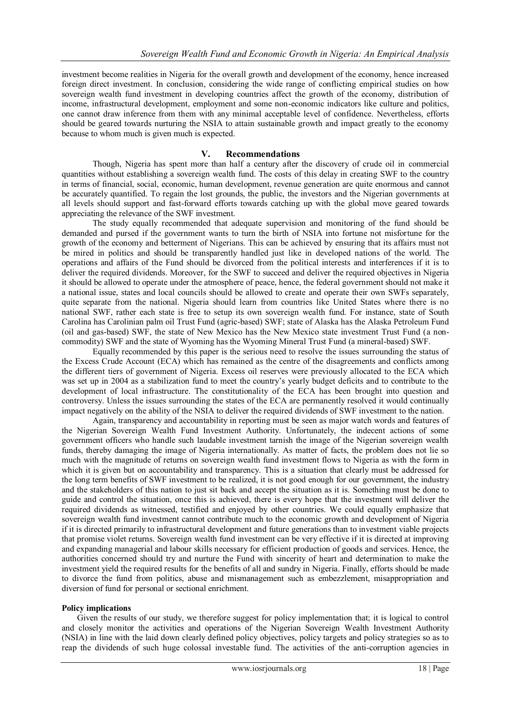investment become realities in Nigeria for the overall growth and development of the economy, hence increased foreign direct investment. In conclusion, considering the wide range of conflicting empirical studies on how sovereign wealth fund investment in developing countries affect the growth of the economy, distribution of income, infrastructural development, employment and some non-economic indicators like culture and politics, one cannot draw inference from them with any minimal acceptable level of confidence. Nevertheless, efforts should be geared towards nurturing the NSIA to attain sustainable growth and impact greatly to the economy because to whom much is given much is expected.

# **V. Recommendations**

Though, Nigeria has spent more than half a century after the discovery of crude oil in commercial quantities without establishing a sovereign wealth fund. The costs of this delay in creating SWF to the country in terms of financial, social, economic, human development, revenue generation are quite enormous and cannot be accurately quantified. To regain the lost grounds, the public, the investors and the Nigerian governments at all levels should support and fast-forward efforts towards catching up with the global move geared towards appreciating the relevance of the SWF investment.

The study equally recommended that adequate supervision and monitoring of the fund should be demanded and pursed if the government wants to turn the birth of NSIA into fortune not misfortune for the growth of the economy and betterment of Nigerians. This can be achieved by ensuring that its affairs must not be mired in politics and should be transparently handled just like in developed nations of the world. The operations and affairs of the Fund should be divorced from the political interests and interferences if it is to deliver the required dividends. Moreover, for the SWF to succeed and deliver the required objectives in Nigeria it should be allowed to operate under the atmosphere of peace, hence, the federal government should not make it a national issue, states and local councils should be allowed to create and operate their own SWFs separately, quite separate from the national. Nigeria should learn from countries like United States where there is no national SWF, rather each state is free to setup its own sovereign wealth fund. For instance, state of South Carolina has Carolinian palm oil Trust Fund (agric-based) SWF; state of Alaska has the Alaska Petroleum Fund (oil and gas-based) SWF, the state of New Mexico has the New Mexico state investment Trust Fund (a noncommodity) SWF and the state of Wyoming has the Wyoming Mineral Trust Fund (a mineral-based) SWF.

Equally recommended by this paper is the serious need to resolve the issues surrounding the status of the Excess Crude Account (ECA) which has remained as the centre of the disagreements and conflicts among the different tiers of government of Nigeria. Excess oil reserves were previously allocated to the ECA which was set up in 2004 as a stabilization fund to meet the country's yearly budget deficits and to contribute to the development of local infrastructure. The constitutionality of the ECA has been brought into question and controversy. Unless the issues surrounding the states of the ECA are permanently resolved it would continually impact negatively on the ability of the NSIA to deliver the required dividends of SWF investment to the nation.

Again, transparency and accountability in reporting must be seen as major watch words and features of the Nigerian Sovereign Wealth Fund Investment Authority. Unfortunately, the indecent actions of some government officers who handle such laudable investment tarnish the image of the Nigerian sovereign wealth funds, thereby damaging the image of Nigeria internationally. As matter of facts, the problem does not lie so much with the magnitude of returns on sovereign wealth fund investment flows to Nigeria as with the form in which it is given but on accountability and transparency. This is a situation that clearly must be addressed for the long term benefits of SWF investment to be realized, it is not good enough for our government, the industry and the stakeholders of this nation to just sit back and accept the situation as it is. Something must be done to guide and control the situation, once this is achieved, there is every hope that the investment will deliver the required dividends as witnessed, testified and enjoyed by other countries. We could equally emphasize that sovereign wealth fund investment cannot contribute much to the economic growth and development of Nigeria if it is directed primarily to infrastructural development and future generations than to investment viable projects that promise violet returns. Sovereign wealth fund investment can be very effective if it is directed at improving and expanding managerial and labour skills necessary for efficient production of goods and services. Hence, the authorities concerned should try and nurture the Fund with sincerity of heart and determination to make the investment yield the required results for the benefits of all and sundry in Nigeria. Finally, efforts should be made to divorce the fund from politics, abuse and mismanagement such as embezzlement, misappropriation and diversion of fund for personal or sectional enrichment.

# **Policy implications**

Given the results of our study, we therefore suggest for policy implementation that; it is logical to control and closely monitor the activities and operations of the Nigerian Sovereign Wealth Investment Authority (NSIA) in line with the laid down clearly defined policy objectives, policy targets and policy strategies so as to reap the dividends of such huge colossal investable fund. The activities of the anti-corruption agencies in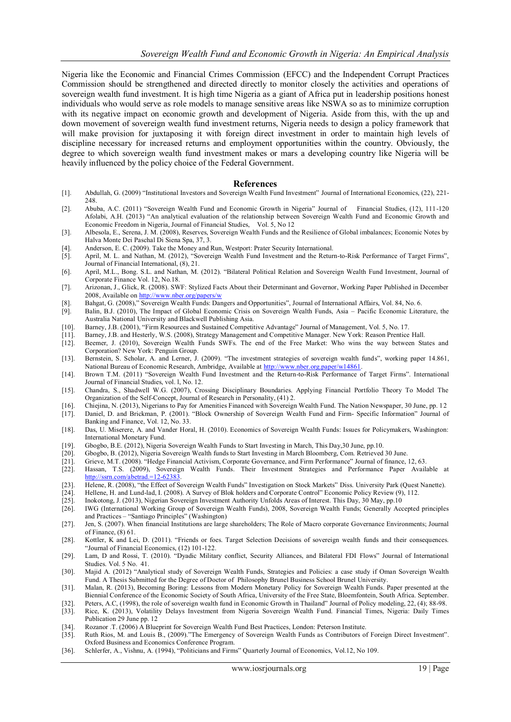Nigeria like the Economic and Financial Crimes Commission (EFCC) and the Independent Corrupt Practices Commission should be strengthened and directed directly to monitor closely the activities and operations of sovereign wealth fund investment. It is high time Nigeria as a giant of Africa put in leadership positions honest individuals who would serve as role models to manage sensitive areas like NSWA so as to minimize corruption with its negative impact on economic growth and development of Nigeria. Aside from this, with the up and down movement of sovereign wealth fund investment returns, Nigeria needs to design a policy framework that will make provision for juxtaposing it with foreign direct investment in order to maintain high levels of discipline necessary for increased returns and employment opportunities within the country. Obviously, the degree to which sovereign wealth fund investment makes or mars a developing country like Nigeria will be heavily influenced by the policy choice of the Federal Government.

#### **References**

- [1]. Abdullah, G. (2009) "Institutional Investors and Sovereign Wealth Fund Investment" Journal of International Economics, (22), 221- 248.
- [2]. Abuba, A.C. (2011) "Sovereign Wealth Fund and Economic Growth in Nigeria" Journal of Financial Studies, (12), 111-120 Afolabi, A.H. (2013) "An analytical evaluation of the relationship between Sovereign Wealth Fund and Economic Growth and Economic Freedom in Nigeria, Journal of Financial Studies, Vol. 5, No 12
- [3]. Albesola, E., Serena, J. M. (2008), Reserves, Sovereign Wealth Funds and the Resilience of Global imbalances; Economic Notes by Halva Monte Dei Paschal Di Siena Spa, 37, 3.
- [4]. Anderson, E. C. (2009). Take the Money and Run, Westport: Prater Security International.
- [5]. April, M. L. and Nathan, M. (2012), "Sovereign Wealth Fund Investment and the Return-to-Risk Performance of Target Firms", Journal of Financial International, (8), 21.
- [6]. April, M.L., Bong. S.L. and Nathan, M. (2012). "Bilateral Political Relation and Sovereign Wealth Fund Investment, Journal of Corporate Finance Vol. 12, No.18.
- [7]. Arizonan, J., Glick, R. (2008). SWF: Stylized Facts About their Determinant and Governor, Working Paper Published in December 2008, Available o[n http://www.nber.org/papers/w](http://www.nber.org/papers/w)
- [8]. Bahgat, G. (2008)," Sovereign Wealth Funds: Dangers and Opportunities", Journal of International Affairs, Vol. 84, No. 6. [9]. Balin, B.J. (2010), The Impact of Global Economic Crisis on Sovereign Wealth Funds, Asia –
- Balin, B.J. (2010), The Impact of Global Economic Crisis on Sovereign Wealth Funds, Asia Pacific Economic Literature, the Australia National University and Blackwell Publishing Asia.
- [10]. Barney, J.B. (2001), "Firm Resources and Sustained Competitive Advantage" Journal of Management, Vol. 5, No. 17.
- [11]. Barney, J.B. and Hesterly, W.S. (2008), Strategy Management and Competitive Manager. New York: Reason Prentice Hall.
- [12]. Beemer, J. (2010), Sovereign Wealth Funds SWFs. The end of the Free Market: Who wins the way between States and Corporation? New York: Penguin Group.
- [13]. Bernstein, S. Scholar, A. and Lerner, J. (2009). "The investment strategies of sovereign wealth funds", working paper 14.861, National Bureau of Economic Research, Ambridge, Available at http://www.nber.org.paper/w14861
- [14]. Brown T.M. (2011) "Sovereign Wealth Fund Investment and the Return-to-Risk Performance of Target Firms". International Journal of Financial Studies, vol. l, No. 12.
- [15]. Chandra, S., Shadwell W.G. (2007), Crossing Disciplinary Boundaries. Applying Financial Portfolio Theory To Model The Organization of the Self-Concept, Journal of Research in Personality, (41) 2.
- [16]. Chiejina, N. (2013), Nigerians to Pay for Amenities Financed with Sovereign Wealth Fund. The Nation Newspaper, 30 June, pp. 12
- [17]. Daniel, D. and Brickman, P. (2001). "Block Ownership of Sovereign Wealth Fund and Firm- Specific Information" Journal of Banking and Finance, Vol. 12, No. 33.
- [18]. Das, U. Miserere, A. and Vander Horal, H. (2010). Economics of Sovereign Wealth Funds: Issues for Policymakers, Washington: International Monetary Fund.
- [19]. Gbogbo, B.E. (2012), Nigeria Sovereign Wealth Funds to Start Investing in March, This Day,30 June, pp.10.
- [20]. Gbogbo, B. (2012), Nigeria Sovereign Wealth funds to Start Investing in March Bloomberg, Com. Retrieved 30 June.
- 
- [21]. Grieve, M.T. (2008). "Hedge Financial Activism, Corporate Governance, and Firm Performance" Journal of finance, 12, 63. Hassan, T.S. (2009), Sovereign Wealth Funds. Their Investment Strategies and Performance Paper Available at [http://ssrn.com/abetrad.=12-62383.](http://ssrn.com/abetrad.=12-62383)
- [23]. Helene, R. (2008), "the Effect of Sovereign Wealth Funds" Investigation on Stock Markets" Diss. University Park (Quest Nanette). [24]. Hellene, H. and Lund-lad, I. (2008). A Survey of Blok holders and Corporate Contr
- [24]. Hellene, H. and Lund-lad, I. (2008). A Survey of Blok holders and Corporate Control" Economic Policy Review (9), 112.<br>[25] Inokotong J. (2013). Nigerian Sovereign Investment Authority Unfolds Areas of Interest. This
- Inokotong, J. (2013), Nigerian Sovereign Investment Authority Unfolds Areas of Interest. This Day, 30 May, pp.10
- [26]. IWG (International Working Group of Sovereign Wealth Funds), 2008, Sovereign Wealth Funds; Generally Accepted principles and Practices – "Santiago Principles" (Washington)
- [27]. Jen, S. (2007). When financial Institutions are large shareholders; The Role of Macro corporate Governance Environments; Journal of Finance, (8) 61.
- [28]. Kottler, K and Lei, D. (2011). "Friends or foes. Target Selection Decisions of sovereign wealth funds and their consequences. "Journal of Financial Economics, (12) 101-122.
- [29]. Lam, D and Rossi, T. (2010). "Dyadic Military conflict, Security Alliances, and Bilateral FDI Flows" Journal of International Studies. Vol. 5 No. 41.
- [30]. Majid A. (2012) "Analytical study of Sovereign Wealth Funds, Strategies and Policies: a case study if Oman Sovereign Wealth Fund. A Thesis Submitted for the Degree of Doctor of Philosophy Brunel Business School Brunel University.
- [31]. Malan, R. (2013), Becoming Boring: Lessons from Modern Monetary Policy for Sovereign Wealth Funds. Paper presented at the Biennial Conference of the Economic Society of South Africa, University of the Free State, Bloemfontein, South Africa. September.
- [32]. Peters, A.C, (1998), the role of sovereign wealth fund in Economic Growth in Thailand" Journal of Policy modeling, 22, (4); 88-98.<br>[33]. Rice, K. (2013), Volatility Delays Investment from Nigeria Sovereign Wealth Fun
- Rice, K. (2013), Volatility Delays Investment from Nigeria Sovereign Wealth Fund. Financial Times, Nigeria: Daily Times Publication 29 June pp. 12
- [34]. Rozanor .T. (2006) A Blueprint for Sovereign Wealth Fund Best Practices, London: Peterson Institute.
- [35]. Ruth Rios, M. and Louis B., (2009)."The Emergency of Sovereign Wealth Funds as Contributors of Foreign Direct Investment". Oxford Business and Economics Conference Program.
- [36]. Schlerfer, A., Vishnu, A. (1994), "Politicians and Firms" Quarterly Journal of Economics, Vol.12, No 109.